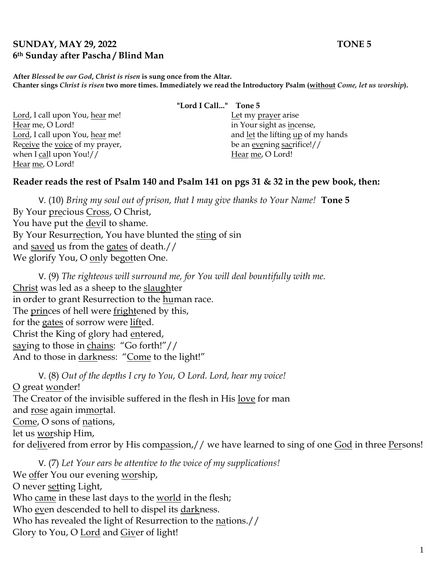#### **SUNDAY, MAY 29, 2022 TONE 5 6th Sunday after Pascha / Blind Man**

**After** *Blessed be our God***,** *Christ is risen* **is sung once from the Altar. Chanter sings** *Christ is risen* **two more times. Immediately we read the Introductory Psalm (without** *Come, let us worship***).**

Lord, I call upon You, hear me! Hear me, O Lord! Lord, I call upon You, hear me! Receive the voice of my prayer, when I call upon You!// Hear me, O Lord!

**"Lord I Call..." Tone 5**

Let my prayer arise in Your sight as incense, and let the lifting up of my hands be an evening sacrifice!// Hear me, O Lord!

#### **Reader reads the rest of Psalm 140 and Psalm 141 on pgs 31 & 32 in the pew book, then:**

V. (10) *Bring my soul out of prison, that I may give thanks to Your Name!* **Tone 5** By Your precious Cross, O Christ, You have put the devil to shame. By Your Resurrection, You have blunted the sting of sin and saved us from the gates of death.// We glorify You, O only begotten One.

V. (9) *The righteous will surround me, for You will deal bountifully with me.*  Christ was led as a sheep to the slaughter in order to grant Resurrection to the human race. The princes of hell were frightened by this, for the gates of sorrow were lifted. Christ the King of glory had entered, saying to those in chains: "Go forth!"// And to those in darkness: "Come to the light!"

V. (8) *Out of the depths I cry to You, O Lord. Lord, hear my voice!*  O great wonder! The Creator of the invisible suffered in the flesh in His love for man and rose again immortal. Come, O sons of nations, let us worship Him, for delivered from error by His compassion,// we have learned to sing of one God in three Persons!

V. (7) *Let Your ears be attentive to the voice of my supplications!* We offer You our evening worship, O never setting Light, Who came in these last days to the world in the flesh; Who even descended to hell to dispel its darkness. Who has revealed the light of Resurrection to the nations.// Glory to You, O Lord and Giver of light!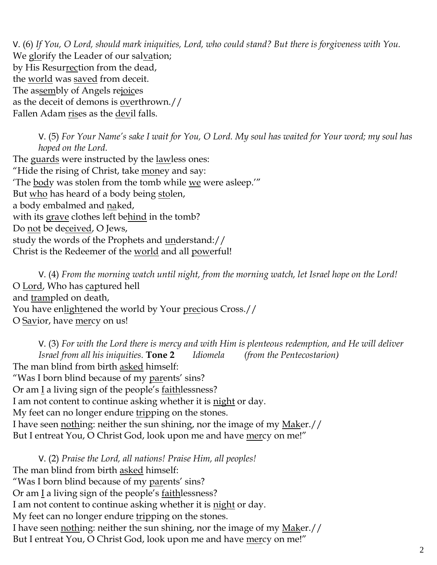V. (6) *If You, O Lord, should mark iniquities, Lord, who could stand? But there is forgiveness with You.*  We glorify the Leader of our salvation; by His Resurrection from the dead, the world was saved from deceit. The assembly of Angels rejoices as the deceit of demons is overthrown.// Fallen Adam rises as the devil falls.

V. (5) *For Your Name's sake I wait for You, O Lord. My soul has waited for Your word; my soul has hoped on the Lord.*  The guards were instructed by the lawless ones:

"Hide the rising of Christ, take money and say: 'The body was stolen from the tomb while we were asleep.'" But who has heard of a body being stolen, a body embalmed and naked, with its grave clothes left behind in the tomb? Do not be deceived, O Jews, study the words of the Prophets and understand:// Christ is the Redeemer of the world and all powerful!

V. (4) *From the morning watch until night, from the morning watch, let Israel hope on the Lord!*  O Lord, Who has captured hell and trampled on death, You have enlightened the world by Your precious Cross.// O Savior, have mercy on us!

V. (3) *For with the Lord there is mercy and with Him is plenteous redemption, and He will deliver Israel from all his iniquities.* **Tone 2** *Idiomela (from the Pentecostarion)* The man blind from birth asked himself: "Was I born blind because of my parents' sins? Or am I a living sign of the people's faithlessness? I am not content to continue asking whether it is night or day. My feet can no longer endure tripping on the stones. I have seen nothing: neither the sun shining, nor the image of my Maker.// But I entreat You, O Christ God, look upon me and have mercy on me!"

V. (2) *Praise the Lord, all nations! Praise Him, all peoples!* The man blind from birth asked himself: "Was I born blind because of my parents' sins? Or am  $\underline{I}$  a living sign of the people's <u>faithlessness</u>? I am not content to continue asking whether it is night or day. My feet can no longer endure tripping on the stones. I have seen nothing: neither the sun shining, nor the image of my Maker.// But I entreat You, O Christ God, look upon me and have mercy on me!"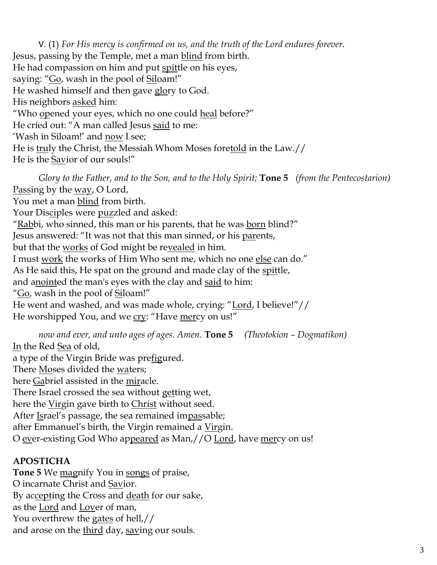V. (1) *For His mercy is confirmed on us, and the truth of the Lord endures forever.*  Jesus, passing by the Temple, met a man blind from birth. He had compassion on him and put spittle on his eyes, saying: "Go, wash in the pool of Siloam!" He washed himself and then gave glory to God. His neighbors asked him: "Who opened your eyes, which no one could heal before?" He cried out: "A man called Jesus said to me: 'Wash in Siloam!' and now I see; He is truly the Christ, the Messiah Whom Moses foretold in the Law.// He is the Savior of our souls!"

*Glory to the Father, and to the Son, and to the Holy Spirit;* **Tone 5** *(from the Pentecostarion)* Passing by the <u>way</u>, O Lord, You met a man blind from birth. Your Disciples were puzzled and asked: "Rabbi, who sinned, this man or his parents, that he was born blind?" Jesus answered: "It was not that this man sinned, or his parents, but that the works of God might be revealed in him. I must work the works of Him Who sent me, which no one else can do." As He said this, He spat on the ground and made clay of the spittle, and anointed the man's eyes with the clay and said to him: "Go, wash in the pool of Siloam!" He went and washed, and was made whole, crying: "Lord, I believe!"// He worshipped You, and we cry: "Have mercy on us!"

*now and ever, and unto ages of ages. Amen.* **Tone 5** *(Theotokion – Dogmatikon)* In the Red Sea of old, a type of the Virgin Bride was prefigured. There Moses divided the waters; here Gabriel assisted in the miracle. There Israel crossed the sea without getting wet, here the Virgin gave birth to Christ without seed. After Israel's passage, the sea remained impassable; after Emmanuel's birth, the Virgin remained a Virgin. O ever-existing God Who appeared as Man,//O Lord, have mercy on us!

## **APOSTICHA**

**Tone 5** We magnify You in songs of praise, O incarnate Christ and Savior. By accepting the Cross and death for our sake, as the Lord and Lover of man, You overthrew the gates of hell,// and arose on the third day, saving our souls.